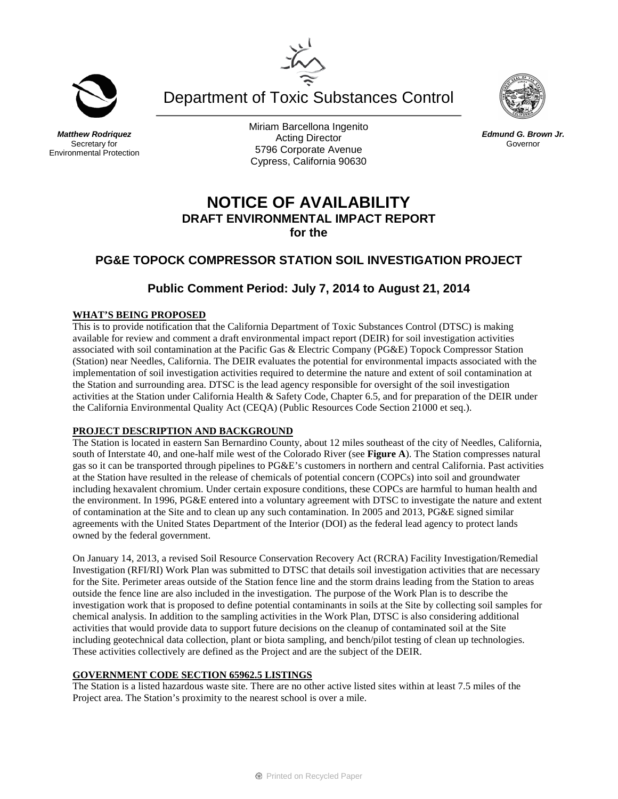Department of Toxic Substances Control

#### *Matthew Rodriquez* Secretary for Environmental Protection

Miriam Barcellona Ingenito Acting Director 5796 Corporate Avenue Cypress, California 90630

# **NOTICE OF AVAILABILITY DRAFT ENVIRONMENTAL IMPACT REPORT for the**

## **PG&E TOPOCK COMPRESSOR STATION SOIL INVESTIGATION PROJECT**

## **Public Comment Period: July 7, 2014 to August 21, 2014**

### **WHAT'S BEING PROPOSED**

This is to provide notification that the California Department of Toxic Substances Control (DTSC) is making available for review and comment a draft environmental impact report (DEIR) for soil investigation activities associated with soil contamination at the Pacific Gas & Electric Company (PG&E) Topock Compressor Station (Station) near Needles, California. The DEIR evaluates the potential for environmental impacts associated with the implementation of soil investigation activities required to determine the nature and extent of soil contamination at the Station and surrounding area. DTSC is the lead agency responsible for oversight of the soil investigation activities at the Station under California Health & Safety Code, Chapter 6.5, and for preparation of the DEIR under the California Environmental Quality Act (CEQA) (Public Resources Code Section 21000 et seq.).

### **PROJECT DESCRIPTION AND BACKGROUND**

The Station is located in eastern San Bernardino County, about 12 miles southeast of the city of Needles, California, south of Interstate 40, and one-half mile west of the Colorado River (see **Figure A**). The Station compresses natural gas so it can be transported through pipelines to PG&E's customers in northern and central California. Past activities at the Station have resulted in the release of chemicals of potential concern (COPCs) into soil and groundwater including hexavalent chromium. Under certain exposure conditions, these COPCs are harmful to human health and the environment. In 1996, PG&E entered into a voluntary agreement with DTSC to investigate the nature and extent of contamination at the Site and to clean up any such contamination. In 2005 and 2013, PG&E signed similar agreements with the United States Department of the Interior (DOI) as the federal lead agency to protect lands owned by the federal government.

On January 14, 2013, a revised Soil Resource Conservation Recovery Act (RCRA) Facility Investigation/Remedial Investigation (RFI/RI) Work Plan was submitted to DTSC that details soil investigation activities that are necessary for the Site. Perimeter areas outside of the Station fence line and the storm drains leading from the Station to areas outside the fence line are also included in the investigation. The purpose of the Work Plan is to describe the investigation work that is proposed to define potential contaminants in soils at the Site by collecting soil samples for chemical analysis. In addition to the sampling activities in the Work Plan, DTSC is also considering additional activities that would provide data to support future decisions on the cleanup of contaminated soil at the Site including geotechnical data collection, plant or biota sampling, and bench/pilot testing of clean up technologies. These activities collectively are defined as the Project and are the subject of the DEIR.

## **GOVERNMENT CODE SECTION 65962.5 LISTINGS**

The Station is a listed hazardous waste site. There are no other active listed sites within at least 7.5 miles of the Project area. The Station's proximity to the nearest school is over a mile.





*Edmund G. Brown Jr.* Governor